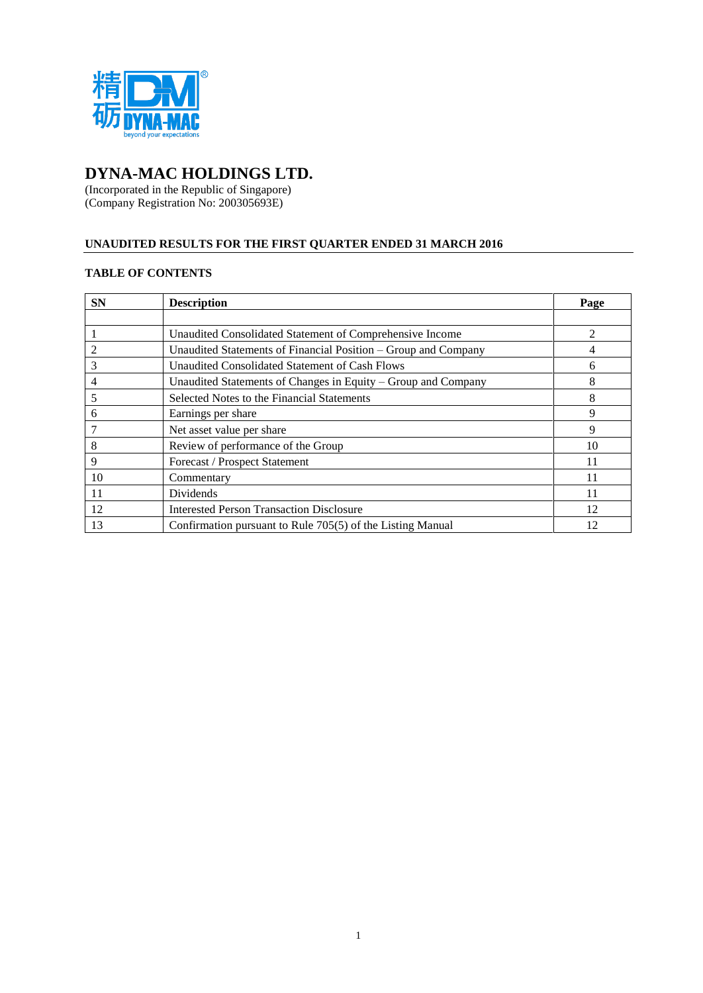

# **DYNA-MAC HOLDINGS LTD.**

(Incorporated in the Republic of Singapore) (Company Registration No: 200305693E)

# **UNAUDITED RESULTS FOR THE FIRST QUARTER ENDED 31 MARCH 2016**

# **TABLE OF CONTENTS**

| <b>SN</b> | <b>Description</b>                                             | Page           |
|-----------|----------------------------------------------------------------|----------------|
|           |                                                                |                |
|           | Unaudited Consolidated Statement of Comprehensive Income       | $\mathfrak{D}$ |
|           | Unaudited Statements of Financial Position – Group and Company |                |
| 3         | Unaudited Consolidated Statement of Cash Flows                 | 6              |
| 4         | Unaudited Statements of Changes in Equity – Group and Company  | 8              |
|           | Selected Notes to the Financial Statements                     | 8              |
| 6         | Earnings per share                                             | 9              |
|           | Net asset value per share                                      | 9              |
| 8         | Review of performance of the Group                             | 10             |
| 9         | Forecast / Prospect Statement                                  | 11             |
| 10        | Commentary                                                     | 11             |
| 11        | Dividends                                                      | 11             |
| 12        | <b>Interested Person Transaction Disclosure</b>                | 12             |
| 13        | Confirmation pursuant to Rule 705(5) of the Listing Manual     | 12             |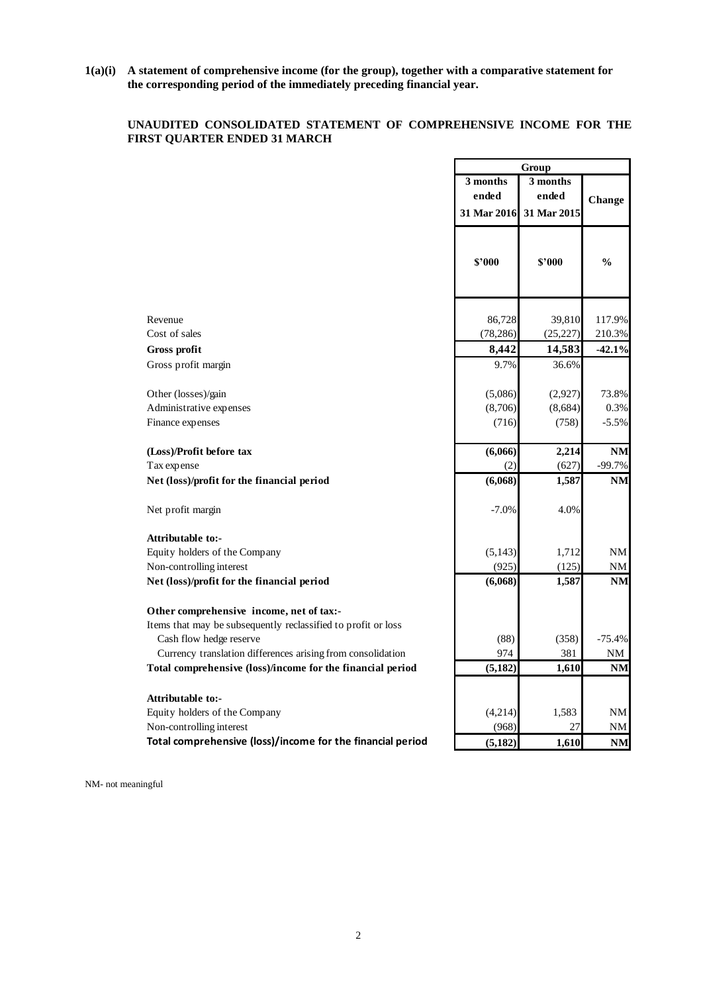**1(a)(i) A statement of comprehensive income (for the group), together with a comparative statement for the corresponding period of the immediately preceding financial year.**

# **UNAUDITED CONSOLIDATED STATEMENT OF COMPREHENSIVE INCOME FOR THE FIRST QUARTER ENDED 31 MARCH**

|                                                               | Group       |             |               |
|---------------------------------------------------------------|-------------|-------------|---------------|
|                                                               | 3 months    | $3$ months  |               |
|                                                               | ended       | ended       | Change        |
|                                                               | 31 Mar 2016 | 31 Mar 2015 |               |
|                                                               | \$'000      | \$'000      | $\frac{0}{0}$ |
| Revenue                                                       | 86,728      | 39,810      | 117.9%        |
| Cost of sales                                                 | (78, 286)   | (25, 227)   | 210.3%        |
| Gross profit                                                  | 8,442       | 14,583      | $-42.1%$      |
| Gross profit margin                                           | 9.7%        | 36.6%       |               |
| Other (losses)/gain                                           | (5,086)     | (2,927)     | 73.8%         |
| Administrative expenses                                       | (8,706)     | (8,684)     | 0.3%          |
| Finance expenses                                              | (716)       | (758)       | $-5.5%$       |
| (Loss)/Profit before tax                                      | (6,066)     | 2,214       | <b>NM</b>     |
| Tax expense                                                   | (2)         | (627)       | $-99.7%$      |
| Net (loss)/profit for the financial period                    | (6,068)     | 1,587       | <b>NM</b>     |
| Net profit margin                                             | $-7.0%$     | 4.0%        |               |
| <b>Attributable to:-</b>                                      |             |             |               |
| Equity holders of the Company                                 | (5, 143)    | 1,712       | NM            |
| Non-controlling interest                                      | (925)       | (125)       | NΜ            |
| Net (loss)/profit for the financial period                    | (6,068)     | 1,587       | NM            |
| Other comprehensive income, net of tax:-                      |             |             |               |
| Items that may be subsequently reclassified to profit or loss |             |             |               |
| Cash flow hedge reserve                                       | (88)        | (358)       | $-75.4%$      |
| Currency translation differences arising from consolidation   | 974         | 381         | $\mathrm{NM}$ |
| Total comprehensive (loss)/income for the financial period    | (5, 182)    | 1,610       | NM            |
| Attributable to:-                                             |             |             |               |
| Equity holders of the Company                                 | (4,214)     | 1,583       | NM            |
| Non-controlling interest                                      | (968)       | 27          | NΜ            |
| Total comprehensive (loss)/income for the financial period    | (5, 182)    | 1,610       | <b>NM</b>     |

NM- not meaningful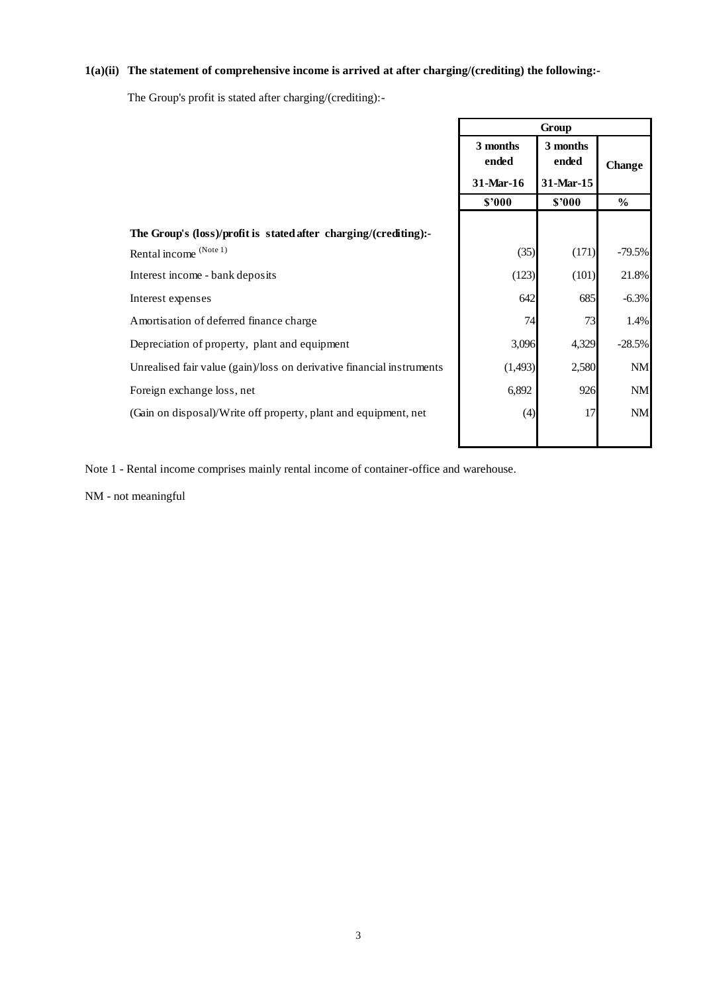# **1(a)(ii) The statement of comprehensive income is arrived at after charging/(crediting) the following:-**

The Group's profit is stated after charging/(crediting):-

|                                                                       |                                                                  | Group  |               |
|-----------------------------------------------------------------------|------------------------------------------------------------------|--------|---------------|
|                                                                       | 3 months<br>3 months<br>ended<br>ended<br>31-Mar-16<br>31-Mar-15 |        | <b>Change</b> |
|                                                                       | \$'000                                                           | \$'000 | $\%$          |
|                                                                       |                                                                  |        |               |
| The Group's (loss)/profit is stated after charging/(crediting):-      |                                                                  |        |               |
| Rental income (Note 1)                                                | (35)                                                             | (171)  | $-79.5%$      |
| Interest income - bank deposits                                       | (123)                                                            | (101)  | 21.8%         |
| Interest expenses                                                     | 642                                                              | 685    | $-6.3%$       |
| Amortisation of deferred finance charge                               | 74                                                               | 73     | 1.4%          |
| Depreciation of property, plant and equipment                         | 3,096                                                            | 4,329  | $-28.5%$      |
| Unrealised fair value (gain)/loss on derivative financial instruments | (1,493)                                                          | 2,580  | NM            |
| Foreign exchange loss, net                                            | 6,892                                                            | 926    | <b>NM</b>     |
| (Gain on disposal)/Write off property, plant and equipment, net       | (4)                                                              | 17     | NM            |
|                                                                       |                                                                  |        |               |

Note 1 - Rental income comprises mainly rental income of container-office and warehouse.

NM - not meaningful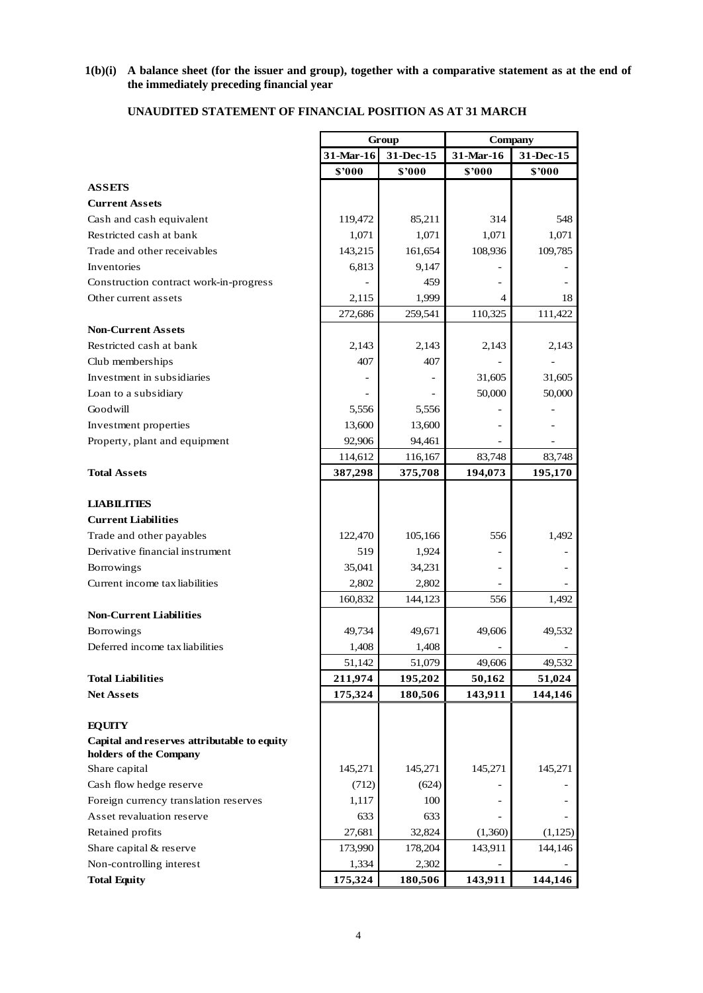### **1(b)(i) A balance sheet (for the issuer and group), together with a comparative statement as at the end of the immediately preceding financial year**

|                                             | Group   |                        | <b>Company</b>      |           |  |
|---------------------------------------------|---------|------------------------|---------------------|-----------|--|
|                                             |         | 31-Mar-16<br>31-Dec-15 |                     | 31-Dec-15 |  |
|                                             | \$'000  | \$'000                 | 31-Mar-16<br>\$'000 | \$'000    |  |
| <b>ASSETS</b>                               |         |                        |                     |           |  |
| <b>Current Assets</b>                       |         |                        |                     |           |  |
| Cash and cash equivalent                    | 119,472 | 85,211                 | 314                 | 548       |  |
| Restricted cash at bank                     | 1,071   | 1,071                  | 1,071               | 1,071     |  |
| Trade and other receivables                 | 143,215 | 161,654                | 108,936             | 109,785   |  |
| Inventories                                 | 6,813   | 9,147                  |                     |           |  |
| Construction contract work-in-progress      |         | 459                    |                     |           |  |
| Other current assets                        | 2,115   | 1,999                  | 4                   | 18        |  |
|                                             | 272,686 | 259,541                | 110,325             | 111,422   |  |
| <b>Non-Current Assets</b>                   |         |                        |                     |           |  |
| Restricted cash at bank                     | 2,143   | 2,143                  | 2,143               | 2,143     |  |
| Club memberships                            | 407     | 407                    |                     |           |  |
| Investment in subsidiaries                  |         |                        | 31,605              | 31,605    |  |
| Loan to a subsidiary                        |         |                        | 50,000              | 50,000    |  |
| Goodwill                                    | 5,556   | 5,556                  |                     |           |  |
| Investment properties                       | 13,600  | 13,600                 |                     |           |  |
| Property, plant and equipment               | 92,906  | 94,461                 |                     |           |  |
|                                             | 114,612 | 116,167                | 83,748              | 83,748    |  |
| <b>Total Assets</b>                         | 387,298 | 375,708                | 194,073             | 195,170   |  |
|                                             |         |                        |                     |           |  |
| <b>LIABILITIES</b>                          |         |                        |                     |           |  |
| <b>Current Liabilities</b>                  |         |                        |                     |           |  |
| Trade and other payables                    | 122,470 | 105,166                | 556                 | 1,492     |  |
| Derivative financial instrument             | 519     | 1,924                  |                     |           |  |
| Borrowings                                  | 35,041  | 34,231                 |                     |           |  |
| Current income tax liabilities              | 2,802   | 2,802                  |                     |           |  |
|                                             | 160,832 | 144,123                | 556                 | 1,492     |  |
| <b>Non-Current Liabilities</b>              |         |                        |                     |           |  |
| Borrowings                                  | 49,734  | 49,671                 | 49,606              | 49,532    |  |
| Deferred income tax liabilities             | 1,408   | 1,408                  |                     |           |  |
|                                             | 51,142  | 51,079                 | 49,606              | 49,532    |  |
| <b>Total Liabilities</b>                    | 211,974 | 195,202                | 50,162              | 51,024    |  |
| <b>Net Assets</b>                           | 175,324 | 180,506                | 143,911             | 144,146   |  |
|                                             |         |                        |                     |           |  |
| <b>EQUITY</b>                               |         |                        |                     |           |  |
| Capital and reserves attributable to equity |         |                        |                     |           |  |
| holders of the Company                      |         |                        |                     |           |  |
| Share capital                               | 145,271 | 145,271                | 145,271             | 145,271   |  |
| Cash flow hedge reserve                     | (712)   | (624)                  |                     |           |  |
| Foreign currency translation reserves       | 1,117   | 100                    |                     |           |  |
| Asset revaluation reserve                   | 633     | 633                    |                     |           |  |
| Retained profits                            | 27,681  | 32,824                 | (1,360)             | (1,125)   |  |
| Share capital & reserve                     | 173,990 | 178,204                | 143,911             | 144,146   |  |
| Non-controlling interest                    | 1,334   | 2,302                  |                     |           |  |
| <b>Total Equity</b>                         | 175,324 | 180,506                | 143,911             | 144,146   |  |

# **UNAUDITED STATEMENT OF FINANCIAL POSITION AS AT 31 MARCH**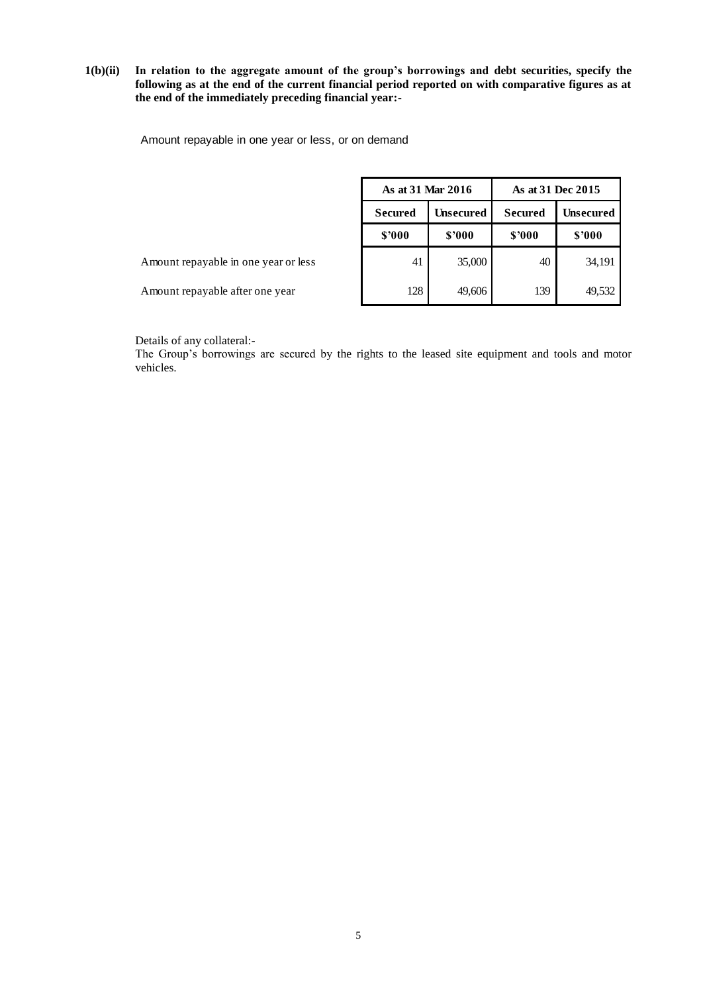## **1(b)(ii) In relation to the aggregate amount of the group's borrowings and debt securities, specify the following as at the end of the current financial period reported on with comparative figures as at the end of the immediately preceding financial year:-**

Amount repayable in one year or less, or on demand

| As at 31 Mar 2016 |                  | As at 31 Dec 2015 |                  |  |
|-------------------|------------------|-------------------|------------------|--|
| <b>Secured</b>    | <b>Unsecured</b> | <b>Secured</b>    | <b>Unsecured</b> |  |
| \$'000            | \$'000           | \$'000            | \$'000           |  |
| 41                | 35,000           | 40                | 34,191           |  |
| 128               | 49,606           | 139               | 49,532           |  |

Amount repayable in one year or less

Amount repayable after one year

Details of any collateral:-

The Group's borrowings are secured by the rights to the leased site equipment and tools and motor vehicles.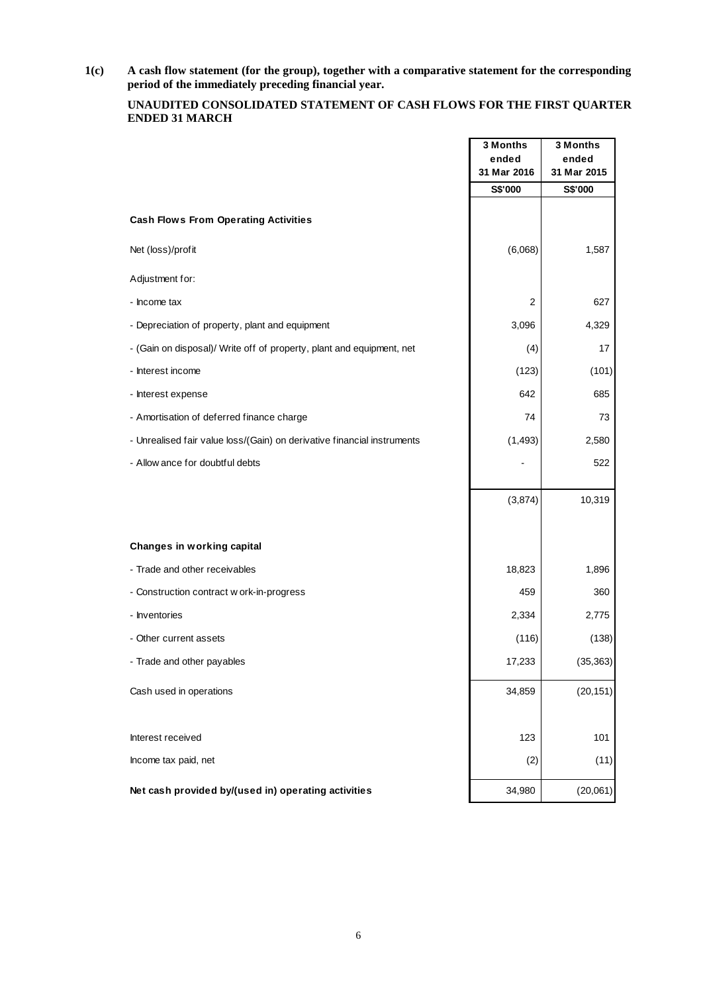**1(c) A cash flow statement (for the group), together with a comparative statement for the corresponding period of the immediately preceding financial year.**

### **UNAUDITED CONSOLIDATED STATEMENT OF CASH FLOWS FOR THE FIRST QUARTER ENDED 31 MARCH**

|                                                                         | 3 Months<br>ended | 3 Months<br>ended |
|-------------------------------------------------------------------------|-------------------|-------------------|
|                                                                         | 31 Mar 2016       | 31 Mar 2015       |
|                                                                         | S\$'000           | S\$'000           |
| <b>Cash Flows From Operating Activities</b>                             |                   |                   |
| Net (loss)/profit                                                       | (6,068)           | 1,587             |
| Adjustment for:                                                         |                   |                   |
| - Income tax                                                            | 2                 | 627               |
| - Depreciation of property, plant and equipment                         | 3,096             | 4,329             |
| - (Gain on disposal)/ Write off of property, plant and equipment, net   | (4)               | 17                |
| - Interest income                                                       | (123)             | (101)             |
| - Interest expense                                                      | 642               | 685               |
| - Amortisation of deferred finance charge                               | 74                | 73                |
| - Unrealised fair value loss/(Gain) on derivative financial instruments | (1, 493)          | 2,580             |
| - Allow ance for doubtful debts                                         |                   | 522               |
|                                                                         |                   |                   |
|                                                                         | (3,874)           | 10,319            |
|                                                                         |                   |                   |
| Changes in working capital                                              |                   |                   |
| - Trade and other receivables                                           | 18,823            | 1,896             |
| - Construction contract w ork-in-progress                               | 459               | 360               |
| - Inventories                                                           | 2,334             | 2,775             |
| - Other current assets                                                  | (116)             | (138)             |
| - Trade and other payables                                              | 17,233            | (35, 363)         |
| Cash used in operations                                                 | 34,859            | (20, 151)         |
|                                                                         |                   |                   |
| Interest received                                                       | 123               | 101               |
| Income tax paid, net                                                    | (2)               | (11)              |
| Net cash provided by/(used in) operating activities                     | 34,980            | (20,061)          |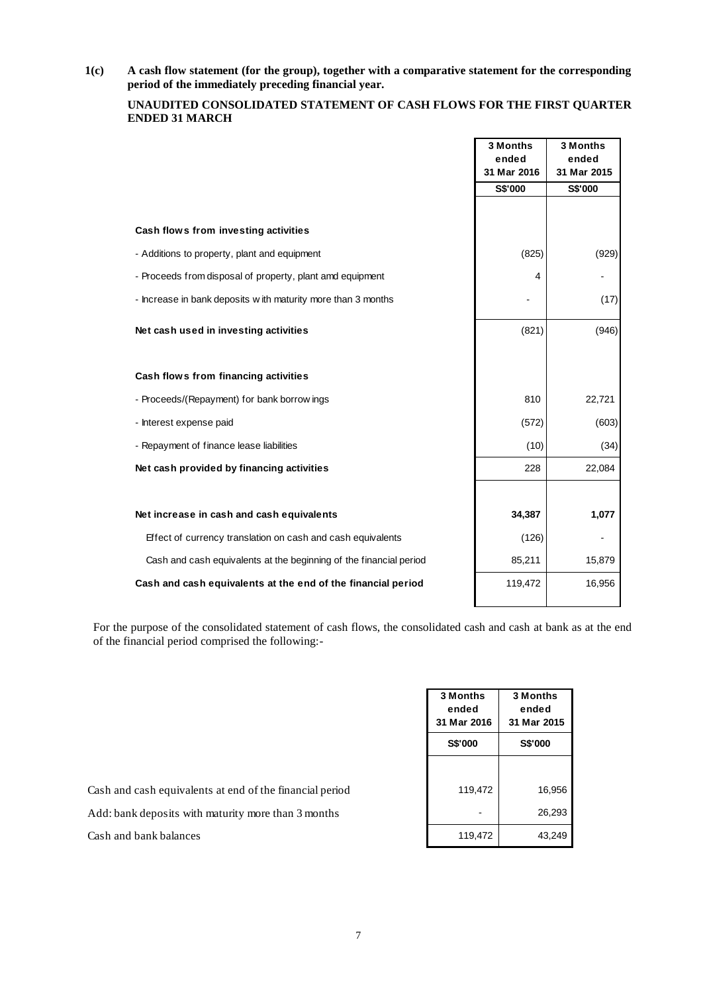**1(c) A cash flow statement (for the group), together with a comparative statement for the corresponding period of the immediately preceding financial year.**

# **UNAUDITED CONSOLIDATED STATEMENT OF CASH FLOWS FOR THE FIRST QUARTER ENDED 31 MARCH**

|                                                                    | 3 Months<br>ended | 3 Months<br>ended |
|--------------------------------------------------------------------|-------------------|-------------------|
|                                                                    | 31 Mar 2016       | 31 Mar 2015       |
|                                                                    | S\$'000           | S\$'000           |
|                                                                    |                   |                   |
| Cash flows from investing activities                               |                   |                   |
| - Additions to property, plant and equipment                       | (825)             | (929)             |
| - Proceeds from disposal of property, plant amd equipment          | 4                 |                   |
| - Increase in bank deposits with maturity more than 3 months       |                   | (17)              |
| Net cash used in investing activities                              | (821)             | (946)             |
|                                                                    |                   |                   |
| Cash flows from financing activities                               |                   |                   |
| - Proceeds/(Repayment) for bank borrow ings                        | 810               | 22,721            |
| - Interest expense paid                                            | (572)             | (603)             |
| - Repayment of finance lease liabilities                           | (10)              | (34)              |
| Net cash provided by financing activities                          | 228               | 22,084            |
|                                                                    |                   |                   |
| Net increase in cash and cash equivalents                          | 34,387            | 1,077             |
| Effect of currency translation on cash and cash equivalents        | (126)             |                   |
| Cash and cash equivalents at the beginning of the financial period | 85,211            | 15,879            |
| Cash and cash equivalents at the end of the financial period       | 119,472           | 16,956            |
|                                                                    |                   |                   |

For the purpose of the consolidated statement of cash flows, the consolidated cash and cash at bank as at the end of the financial period comprised the following:-

| 3 Months<br>ended<br>31 Mar 2016<br><b>S\$'000</b> | 3 Months<br>ended<br>31 Mar 2015<br><b>S\$'000</b> |
|----------------------------------------------------|----------------------------------------------------|
|                                                    |                                                    |
| 119,472                                            | 16,956<br>26,293                                   |
| 119,472                                            | 43,249                                             |

Cash and cash equivalents at end of the financial period

Add: bank deposits with maturity more than 3 months

Cash and bank balances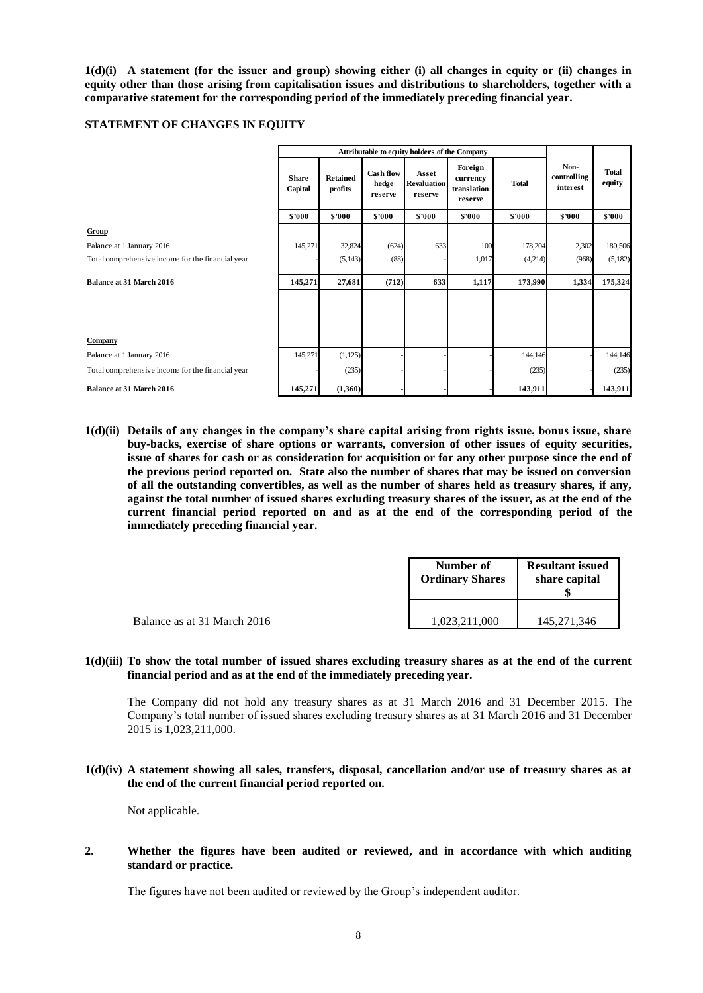**1(d)(i) A statement (for the issuer and group) showing either (i) all changes in equity or (ii) changes in equity other than those arising from capitalisation issues and distributions to shareholders, together with a comparative statement for the corresponding period of the immediately preceding financial year.**

#### **STATEMENT OF CHANGES IN EQUITY**

|                                                   | Attributable to equity holders of the Company |                            |                                      |                                        |                                               |              |                                 |                        |
|---------------------------------------------------|-----------------------------------------------|----------------------------|--------------------------------------|----------------------------------------|-----------------------------------------------|--------------|---------------------------------|------------------------|
|                                                   | <b>Share</b><br>Capital                       | <b>Retained</b><br>profits | <b>Cash flow</b><br>hedge<br>reserve | Asset<br><b>Revaluation</b><br>reserve | Foreign<br>currency<br>translation<br>reserve | <b>Total</b> | Non-<br>controlling<br>interest | <b>Total</b><br>equity |
|                                                   | \$'000                                        | \$'000                     | \$'000                               | \$'000                                 | \$'000                                        | \$'000       | \$'000                          | \$'000                 |
| Group                                             |                                               |                            |                                      |                                        |                                               |              |                                 |                        |
| Balance at 1 January 2016                         | 145,271                                       | 32,824                     | (624)                                | 633                                    | 100                                           | 178,204      | 2,302                           | 180,506                |
| Total comprehensive income for the financial year |                                               | (5, 143)                   | (88)                                 |                                        | 1,017                                         | (4,214)      | (968)                           | (5,182)                |
| <b>Balance at 31 March 2016</b>                   | 145,271                                       | 27,681                     | (712)                                | 633                                    | 1,117                                         | 173,990      | 1,334                           | 175,324                |
|                                                   |                                               |                            |                                      |                                        |                                               |              |                                 |                        |
| Company                                           |                                               |                            |                                      |                                        |                                               |              |                                 |                        |
| Balance at 1 January 2016                         | 145,271                                       | (1, 125)                   |                                      |                                        |                                               | 144,146      |                                 | 144,146                |
| Total comprehensive income for the financial year |                                               | (235)                      |                                      |                                        |                                               | (235)        |                                 | (235)                  |
| <b>Balance at 31 March 2016</b>                   | 145,271                                       | (1,360)                    |                                      |                                        |                                               | 143,911      |                                 | 143,911                |

**1(d)(ii) Details of any changes in the company's share capital arising from rights issue, bonus issue, share buy-backs, exercise of share options or warrants, conversion of other issues of equity securities, issue of shares for cash or as consideration for acquisition or for any other purpose since the end of the previous period reported on. State also the number of shares that may be issued on conversion of all the outstanding convertibles, as well as the number of shares held as treasury shares, if any, against the total number of issued shares excluding treasury shares of the issuer, as at the end of the current financial period reported on and as at the end of the corresponding period of the immediately preceding financial year.**

|                             | Number of<br><b>Ordinary Shares</b> | <b>Resultant issued</b><br>share capital |  |
|-----------------------------|-------------------------------------|------------------------------------------|--|
| Balance as at 31 March 2016 | 1,023,211,000                       | 145,271,346                              |  |

**1(d)(iii) To show the total number of issued shares excluding treasury shares as at the end of the current financial period and as at the end of the immediately preceding year.**

The Company did not hold any treasury shares as at 31 March 2016 and 31 December 2015. The Company's total number of issued shares excluding treasury shares as at 31 March 2016 and 31 December 2015 is 1,023,211,000.

### **1(d)(iv) A statement showing all sales, transfers, disposal, cancellation and/or use of treasury shares as at the end of the current financial period reported on.**

Not applicable.

### **2. Whether the figures have been audited or reviewed, and in accordance with which auditing standard or practice.**

The figures have not been audited or reviewed by the Group's independent auditor.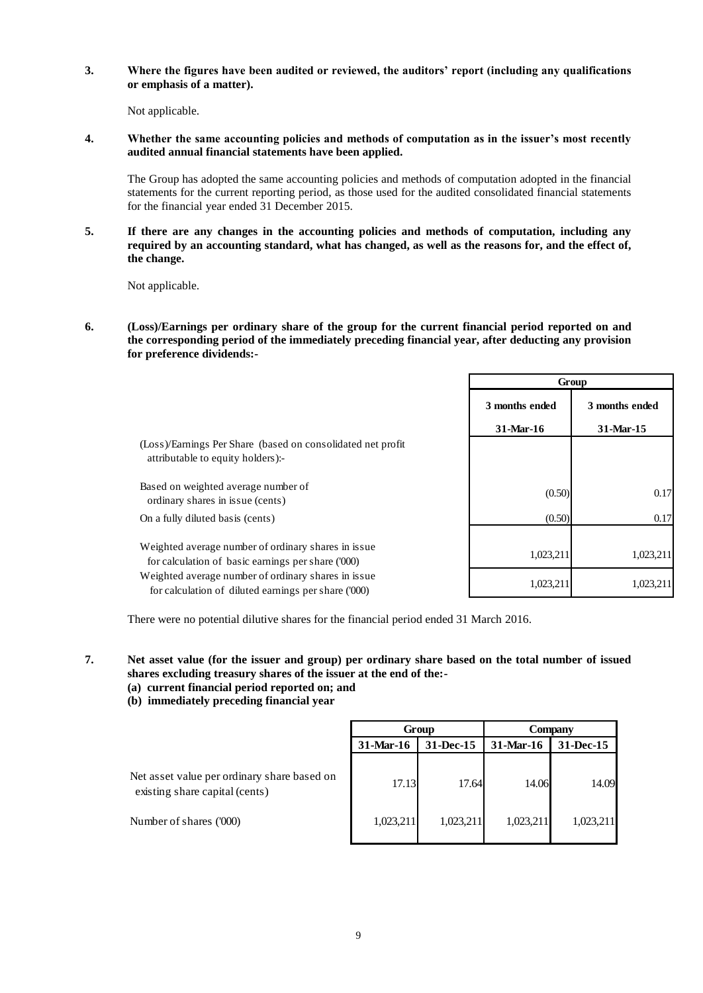**3. Where the figures have been audited or reviewed, the auditors' report (including any qualifications or emphasis of a matter).**

Not applicable.

**4. Whether the same accounting policies and methods of computation as in the issuer's most recently audited annual financial statements have been applied.**

The Group has adopted the same accounting policies and methods of computation adopted in the financial statements for the current reporting period, as those used for the audited consolidated financial statements for the financial year ended 31 December 2015.

**5. If there are any changes in the accounting policies and methods of computation, including any required by an accounting standard, what has changed, as well as the reasons for, and the effect of, the change.**

Not applicable.

**6. (Loss)/Earnings per ordinary share of the group for the current financial period reported on and the corresponding period of the immediately preceding financial year, after deducting any provision for preference dividends:-**

|                                                                                                             |                | Group          |
|-------------------------------------------------------------------------------------------------------------|----------------|----------------|
|                                                                                                             | 3 months ended | 3 months ended |
|                                                                                                             | 31-Mar-16      | 31-Mar-15      |
| (Loss)/Earnings Per Share (based on consolidated net profit)<br>attributable to equity holders):-           |                |                |
| Based on weighted average number of<br>ordinary shares in issue (cents)                                     | (0.50)         | 0.17           |
| On a fully diluted basis (cents)                                                                            | (0.50)         | 0.17           |
| Weighted average number of ordinary shares in issue.<br>for calculation of basic earnings per share ('000)  | 1,023,211      | 1,023,211      |
| Weighted average number of ordinary shares in issue<br>for calculation of diluted earnings per share ('000) | 1,023,211      | 1,023,211      |

There were no potential dilutive shares for the financial period ended 31 March 2016.

- **7. Net asset value (for the issuer and group) per ordinary share based on the total number of issued shares excluding treasury shares of the issuer at the end of the:-**
	- **(a) current financial period reported on; and**
	- **(b) immediately preceding financial year**

|                                                                               | Group                  |           | Company   |           |
|-------------------------------------------------------------------------------|------------------------|-----------|-----------|-----------|
|                                                                               | 31-Dec-15<br>31-Mar-16 |           | 31-Mar-16 | 31-Dec-15 |
| Net asset value per ordinary share based on<br>existing share capital (cents) | 17.13                  | 17.64     | 14.06     | 14.09     |
| Number of shares ('000)                                                       | 1,023,211              | 1,023,211 | 1,023,211 | 1,023,211 |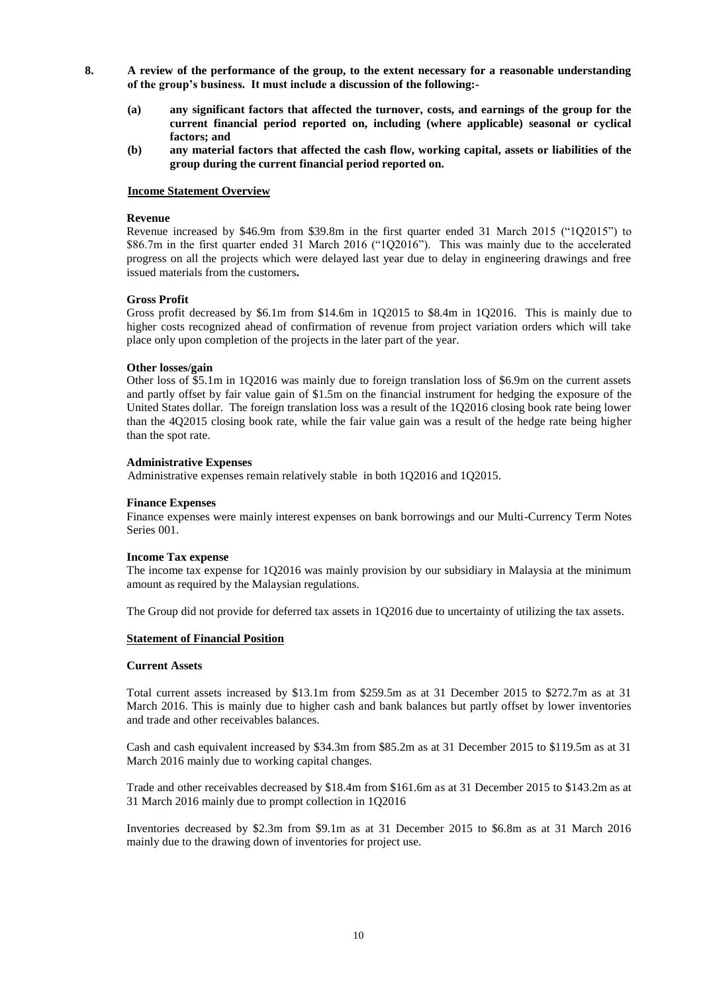- **8. A review of the performance of the group, to the extent necessary for a reasonable understanding of the group's business. It must include a discussion of the following:-**
	- **(a) any significant factors that affected the turnover, costs, and earnings of the group for the current financial period reported on, including (where applicable) seasonal or cyclical factors; and**
	- **(b) any material factors that affected the cash flow, working capital, assets or liabilities of the group during the current financial period reported on.**

#### **Income Statement Overview**

#### **Revenue**

Revenue increased by \$46.9m from \$39.8m in the first quarter ended 31 March 2015 ("1Q2015") to \$86.7m in the first quarter ended 31 March 2016 ("1Q2016"). This was mainly due to the accelerated progress on all the projects which were delayed last year due to delay in engineering drawings and free issued materials from the customers**.**

#### **Gross Profit**

Gross profit decreased by \$6.1m from \$14.6m in 1Q2015 to \$8.4m in 1Q2016. This is mainly due to higher costs recognized ahead of confirmation of revenue from project variation orders which will take place only upon completion of the projects in the later part of the year.

#### **Other losses/gain**

Other loss of \$5.1m in 1Q2016 was mainly due to foreign translation loss of \$6.9m on the current assets and partly offset by fair value gain of \$1.5m on the financial instrument for hedging the exposure of the United States dollar. The foreign translation loss was a result of the 1Q2016 closing book rate being lower than the 4Q2015 closing book rate, while the fair value gain was a result of the hedge rate being higher than the spot rate.

#### **Administrative Expenses**

Administrative expenses remain relatively stable in both 1Q2016 and 1Q2015.

#### **Finance Expenses**

Finance expenses were mainly interest expenses on bank borrowings and our Multi-Currency Term Notes Series 001.

#### **Income Tax expense**

The income tax expense for 1Q2016 was mainly provision by our subsidiary in Malaysia at the minimum amount as required by the Malaysian regulations.

The Group did not provide for deferred tax assets in 1Q2016 due to uncertainty of utilizing the tax assets.

#### **Statement of Financial Position**

#### **Current Assets**

Total current assets increased by \$13.1m from \$259.5m as at 31 December 2015 to \$272.7m as at 31 March 2016. This is mainly due to higher cash and bank balances but partly offset by lower inventories and trade and other receivables balances.

Cash and cash equivalent increased by \$34.3m from \$85.2m as at 31 December 2015 to \$119.5m as at 31 March 2016 mainly due to working capital changes.

Trade and other receivables decreased by \$18.4m from \$161.6m as at 31 December 2015 to \$143.2m as at 31 March 2016 mainly due to prompt collection in 1Q2016

Inventories decreased by \$2.3m from \$9.1m as at 31 December 2015 to \$6.8m as at 31 March 2016 mainly due to the drawing down of inventories for project use.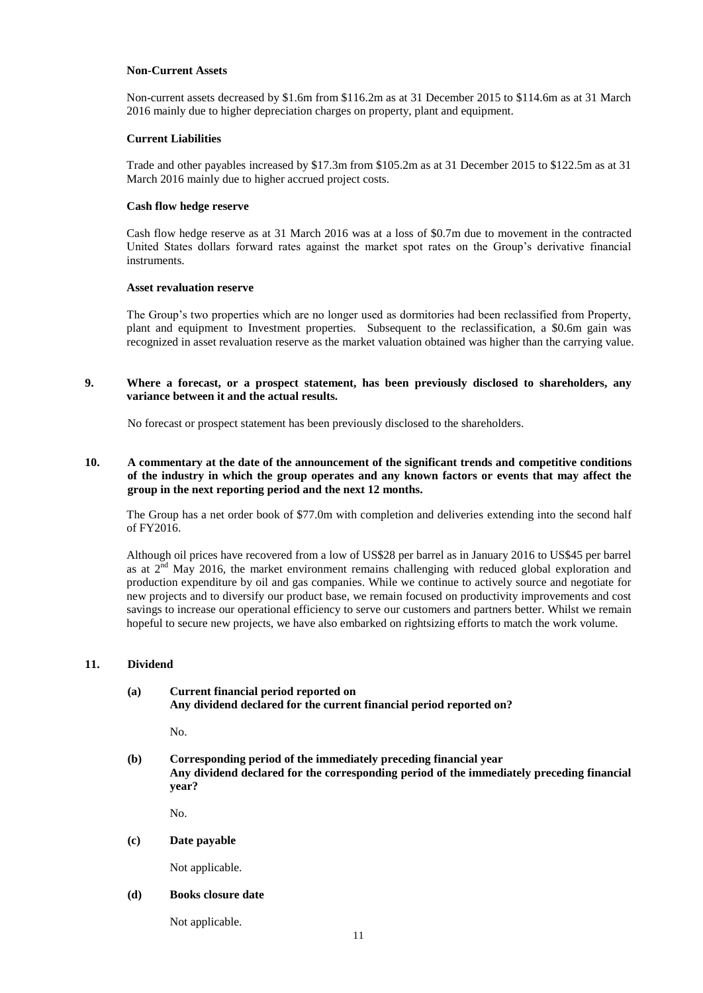#### **Non-Current Assets**

Non-current assets decreased by \$1.6m from \$116.2m as at 31 December 2015 to \$114.6m as at 31 March 2016 mainly due to higher depreciation charges on property, plant and equipment.

#### **Current Liabilities**

Trade and other payables increased by \$17.3m from \$105.2m as at 31 December 2015 to \$122.5m as at 31 March 2016 mainly due to higher accrued project costs.

#### **Cash flow hedge reserve**

Cash flow hedge reserve as at 31 March 2016 was at a loss of \$0.7m due to movement in the contracted United States dollars forward rates against the market spot rates on the Group's derivative financial instruments.

#### **Asset revaluation reserve**

The Group's two properties which are no longer used as dormitories had been reclassified from Property, plant and equipment to Investment properties. Subsequent to the reclassification, a \$0.6m gain was recognized in asset revaluation reserve as the market valuation obtained was higher than the carrying value.

# **9. Where a forecast, or a prospect statement, has been previously disclosed to shareholders, any variance between it and the actual results.**

No forecast or prospect statement has been previously disclosed to the shareholders.

# **10. A commentary at the date of the announcement of the significant trends and competitive conditions of the industry in which the group operates and any known factors or events that may affect the group in the next reporting period and the next 12 months.**

The Group has a net order book of \$77.0m with completion and deliveries extending into the second half of FY2016.

Although oil prices have recovered from a low of US\$28 per barrel as in January 2016 to US\$45 per barrel as at  $2<sup>nd</sup>$  May 2016, the market environment remains challenging with reduced global exploration and production expenditure by oil and gas companies. While we continue to actively source and negotiate for new projects and to diversify our product base, we remain focused on productivity improvements and cost savings to increase our operational efficiency to serve our customers and partners better. Whilst we remain hopeful to secure new projects, we have also embarked on rightsizing efforts to match the work volume.

# **11. Dividend**

# **(a) Current financial period reported on Any dividend declared for the current financial period reported on?**

No.

**(b) Corresponding period of the immediately preceding financial year Any dividend declared for the corresponding period of the immediately preceding financial year?**

No.

### **(c) Date payable**

Not applicable.

### **(d) Books closure date**

Not applicable.